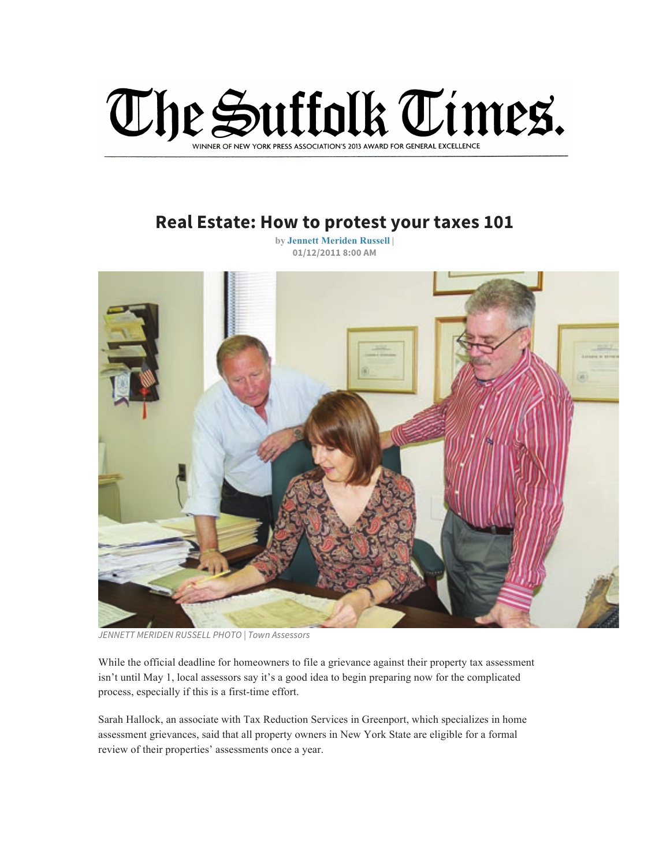

## **Real Estate: How to protest your taxes 101**

**by Jennett Meriden Russell | 01/12/2011 8:00 AM**



*JENNETT MERIDEN RUSSELL PHOTO | Town Assessors*

While the official deadline for homeowners to file a grievance against their property tax assessment isn't until May 1, local assessors say it's a good idea to begin preparing now for the complicated process, especially if this is a first-time effort.

Sarah Hallock, an associate with Tax Reduction Services in Greenport, which specializes in home assessment grievances, said that all property owners in New York State are eligible for a formal review of their properties' assessments once a year.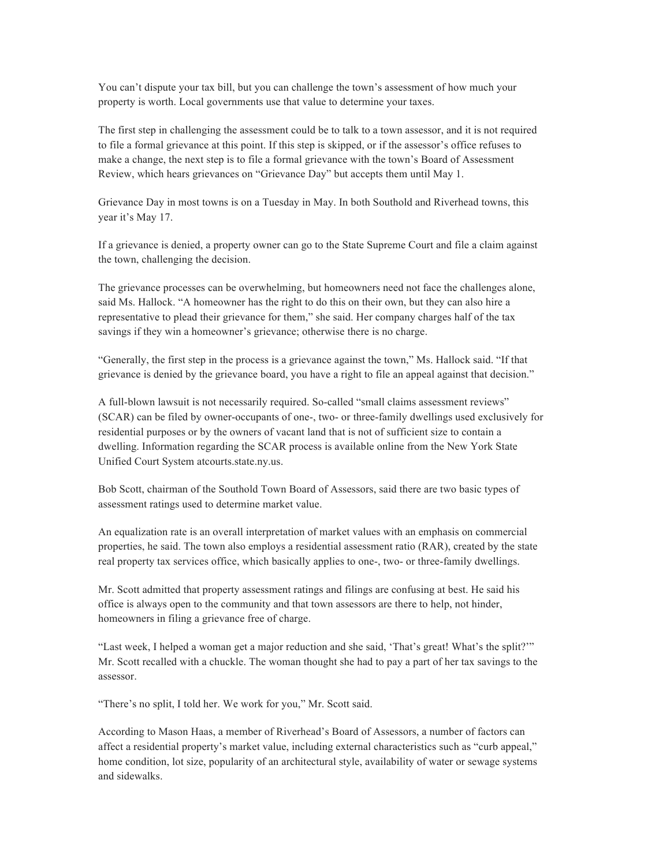You can't dispute your tax bill, but you can challenge the town's assessment of how much your property is worth. Local governments use that value to determine your taxes.

The first step in challenging the assessment could be to talk to a town assessor, and it is not required to file a formal grievance at this point. If this step is skipped, or if the assessor's office refuses to make a change, the next step is to file a formal grievance with the town's Board of Assessment Review, which hears grievances on "Grievance Day" but accepts them until May 1.

Grievance Day in most towns is on a Tuesday in May. In both Southold and Riverhead towns, this year it's May 17.

If a grievance is denied, a property owner can go to the State Supreme Court and file a claim against the town, challenging the decision.

The grievance processes can be overwhelming, but homeowners need not face the challenges alone, said Ms. Hallock. "A homeowner has the right to do this on their own, but they can also hire a representative to plead their grievance for them," she said. Her company charges half of the tax savings if they win a homeowner's grievance; otherwise there is no charge.

"Generally, the first step in the process is a grievance against the town," Ms. Hallock said. "If that grievance is denied by the grievance board, you have a right to file an appeal against that decision."

A full-blown lawsuit is not necessarily required. So-called "small claims assessment reviews" (SCAR) can be filed by owner-occupants of one-, two- or three-family dwellings used exclusively for residential purposes or by the owners of vacant land that is not of sufficient size to contain a dwelling. Information regarding the SCAR process is available online from the New York State Unified Court System atcourts.state.ny.us.

Bob Scott, chairman of the Southold Town Board of Assessors, said there are two basic types of assessment ratings used to determine market value.

An equalization rate is an overall interpretation of market values with an emphasis on commercial properties, he said. The town also employs a residential assessment ratio (RAR), created by the state real property tax services office, which basically applies to one-, two- or three-family dwellings.

Mr. Scott admitted that property assessment ratings and filings are confusing at best. He said his office is always open to the community and that town assessors are there to help, not hinder, homeowners in filing a grievance free of charge.

"Last week, I helped a woman get a major reduction and she said, 'That's great! What's the split?'" Mr. Scott recalled with a chuckle. The woman thought she had to pay a part of her tax savings to the assessor.

"There's no split, I told her. We work for you," Mr. Scott said.

According to Mason Haas, a member of Riverhead's Board of Assessors, a number of factors can affect a residential property's market value, including external characteristics such as "curb appeal," home condition, lot size, popularity of an architectural style, availability of water or sewage systems and sidewalks.